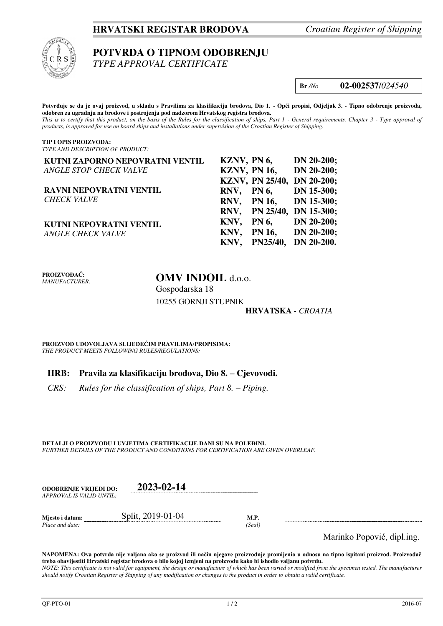## **HRVATSKI REGISTAR BRODOVA** *Croatian Register of Shipping*



# **POTVRDA O TIPNOM ODOBRENJU**

*TYPE APPROVAL CERTIFICATE* 

**Br** */No* **02-002537**/*024540*

**Potvrđuje se da je ovaj proizvod, u skladu s Pravilima za klasifikaciju brodova, Dio 1. - Opći propisi, Odjeljak 3. - Tipno odobrenje proizvoda, odobren za ugradnju na brodove i postrojenja pod nadzorom Hrvatskog registra brodova.**  *This is to certify that this product, on the basis of the Rules for the classification of ships, Part 1 - General requirements, Chapter 3 - Type approval of products, is approved for use on board ships and installations under supervision of the Croatian Register of Shipping.* 

#### **TIP I OPIS PROIZVODA:** *TYPE AND DESCRIPTION OF PRODUCT:*

| KUTNI ZAPORNO NEPOVRATNI VENTIL | KZNV, PN 6, |                     | $DN 20-200;$               |
|---------------------------------|-------------|---------------------|----------------------------|
| <b>ANGLE STOP CHECK VALVE</b>   |             | <b>KZNV, PN 16,</b> | $DN 20-200;$               |
|                                 |             |                     | KZNV, PN 25/40, DN 20-200; |
| RAVNI NEPOVRATNI VENTIL         |             | RNV, PN6,           | DN 15-300;                 |
| <b>CHECK VALVE</b>              |             |                     | RNV, PN 16, DN 15-300;     |
|                                 |             |                     | RNV, PN 25/40, DN 15-300;  |
| KUTNI NEPOVRATNI VENTIL         |             | KNV, PN $6$ ,       | $DN 20-200;$               |
| <b>ANGLE CHECK VALVE</b>        |             |                     | KNV, PN 16, DN 20-200;     |
|                                 |             |                     | KNV, PN25/40, DN 20-200.   |

**PROIZVOĐAČ:** *MANUFACTURER:*

# **OMV INDOIL** d.o.o. Gospodarska 18

10255 GORNJI STUPNIK

## **HRVATSKA** *- CROATIA*

**PROIZVOD UDOVOLJAVA SLIJEDEĆIM PRAVILIMA/PROPISIMA:** *THE PRODUCT MEETS FOLLOWING RULES/REGULATIONS:* 

## **HRB: Pravila za klasifikaciju brodova, Dio 8. – Cjevovodi.**

*CRS:* Rules for the classification of ships, Part 8. – Piping.

**DETALJI O PROIZVODU I UVJETIMA CERTIFIKACIJE DANI SU NA POLEĐINI.** *FURTHER DETAILS OF THE PRODUCT AND CONDITIONS FOR CERTIFICATION ARE GIVEN OVERLEAF.* 

| <b>ODOBRENJE VRLIEDI DO:</b> | 2023-02-14     |
|------------------------------|----------------|
| APPROVAL IS VALID UNTIL:     |                |
|                              | 0.11.0010.0101 |

**Mjesto i datum:** Split, 2019-01-04 **M.P.**  *Place and date: (Seal)* 

Marinko Popović, dipl.ing.

**NAPOMENA: Ova potvrda nije valjana ako se proizvod ili način njegove proizvodnje promijenio u odnosu na tipno ispitani proizvod. Proizvođač treba obavijestiti Hrvatski registar brodova o bilo kojoj izmjeni na proizvodu kako bi ishodio valjanu potvrdu.**  *NOTE: This certificate is not valid for equipment, the design or manufacture of which has been varied or modified from the specimen tested. The manufacturer should notify Croatian Register of Shipping of any modification or changes to the product in order to obtain a valid certificate.*